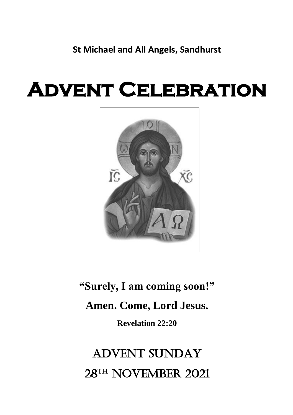# **Advent Celebration**



**"Surely, I am coming soon!" Amen. Come, Lord Jesus. Revelation 22:20**

## Advent Sunday 28th NOVEMBER 2021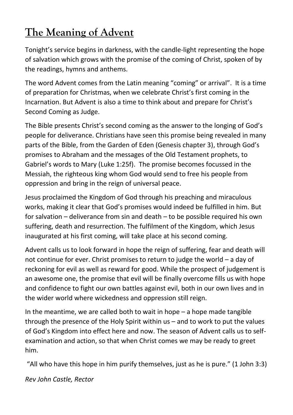### **The Meaning of Advent**

Tonight's service begins in darkness, with the candle-light representing the hope of salvation which grows with the promise of the coming of Christ, spoken of by the readings, hymns and anthems.

The word Advent comes from the Latin meaning "coming" or arrival". It is a time of preparation for Christmas, when we celebrate Christ's first coming in the Incarnation. But Advent is also a time to think about and prepare for Christ's Second Coming as Judge.

The Bible presents Christ's second coming as the answer to the longing of God's people for deliverance. Christians have seen this promise being revealed in many parts of the Bible, from the Garden of Eden (Genesis chapter 3), through God's promises to Abraham and the messages of the Old Testament prophets, to Gabriel's words to Mary (Luke 1:25f). The promise becomes focussed in the Messiah, the righteous king whom God would send to free his people from oppression and bring in the reign of universal peace.

Jesus proclaimed the Kingdom of God through his preaching and miraculous works, making it clear that God's promises would indeed be fulfilled in him. But for salvation – deliverance from sin and death – to be possible required his own suffering, death and resurrection. The fulfilment of the Kingdom, which Jesus inaugurated at his first coming, will take place at his second coming.

Advent calls us to look forward in hope the reign of suffering, fear and death will not continue for ever. Christ promises to return to judge the world – a day of reckoning for evil as well as reward for good. While the prospect of judgement is an awesome one, the promise that evil will be finally overcome fills us with hope and confidence to fight our own battles against evil, both in our own lives and in the wider world where wickedness and oppression still reign.

In the meantime, we are called both to wait in hope – a hope made tangible through the presence of the Holy Spirit within us – and to work to put the values of God's Kingdom into effect here and now. The season of Advent calls us to selfexamination and action, so that when Christ comes we may be ready to greet him.

"All who have this hope in him purify themselves, just as he is pure." (1 John 3:3)

*Rev John Castle, Rector*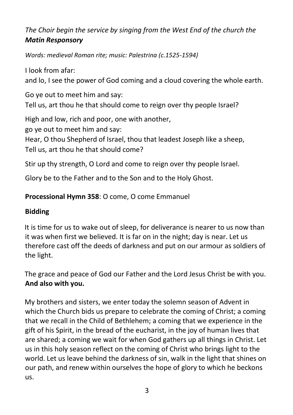#### *The Choir begin the service by singing from the West End of the church the Matin Responsory*

*Words: medieval Roman rite; music: Palestrina (c.1525-1594)*

I look from afar: and lo, I see the power of God coming and a cloud covering the whole earth.

Go ye out to meet him and say: Tell us, art thou he that should come to reign over thy people Israel?

High and low, rich and poor, one with another,

go ye out to meet him and say:

Hear, O thou Shepherd of Israel, thou that leadest Joseph like a sheep, Tell us, art thou he that should come?

Stir up thy strength, O Lord and come to reign over thy people Israel.

Glory be to the Father and to the Son and to the Holy Ghost.

#### **Processional Hymn 358**: O come, O come Emmanuel

#### **Bidding**

It is time for us to wake out of sleep, for deliverance is nearer to us now than it was when first we believed. It is far on in the night; day is near. Let us therefore cast off the deeds of darkness and put on our armour as soldiers of the light.

The grace and peace of God our Father and the Lord Jesus Christ be with you. **And also with you.**

My brothers and sisters, we enter today the solemn season of Advent in which the Church bids us prepare to celebrate the coming of Christ; a coming that we recall in the Child of Bethlehem; a coming that we experience in the gift of his Spirit, in the bread of the eucharist, in the joy of human lives that are shared; a coming we wait for when God gathers up all things in Christ. Let us in this holy season reflect on the coming of Christ who brings light to the world. Let us leave behind the darkness of sin, walk in the light that shines on our path, and renew within ourselves the hope of glory to which he beckons us.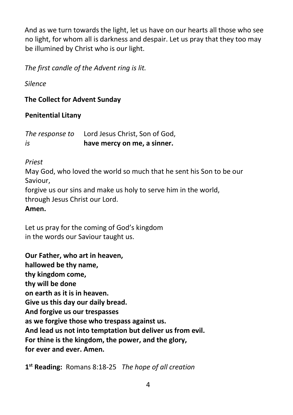And as we turn towards the light, let us have on our hearts all those who see no light, for whom all is darkness and despair. Let us pray that they too may be illumined by Christ who is our light.

*The first candle of the Advent ring is lit.* 

*Silence*

#### **The Collect for Advent Sunday**

#### **Penitential Litany**

| The response to | Lord Jesus Christ, Son of God, |
|-----------------|--------------------------------|
| is              | have mercy on me, a sinner.    |

*Priest*

May God, who loved the world so much that he sent his Son to be our Saviour, forgive us our sins and make us holy to serve him in the world, through Jesus Christ our Lord. **Amen.**

Let us pray for the coming of God's kingdom in the words our Saviour taught us.

**Our Father, who art in heaven, hallowed be thy name, thy kingdom come, thy will be done on earth as it is in heaven. Give us this day our daily bread. And forgive us our trespasses as we forgive those who trespass against us. And lead us not into temptation but deliver us from evil. For thine is the kingdom, the power, and the glory, for ever and ever. Amen.**

**1 st Reading:** Romans 8:18-25 *The hope of all creation*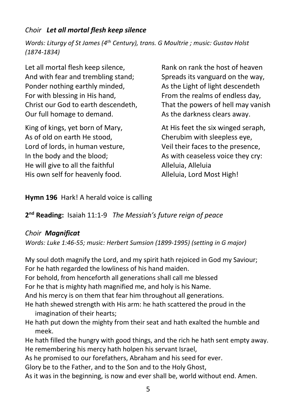#### *Choir Let all mortal flesh keep silence*

*Words: Liturgy of St James (4th Century), trans. G Moultrie ; music: Gustav Holst (1874-1834)*

Let all mortal flesh keep silence, And with fear and trembling stand; Ponder nothing earthly minded, For with blessing in His hand, Christ our God to earth descendeth, Our full homage to demand.

King of kings, yet born of Mary, As of old on earth He stood, Lord of lords, in human vesture, In the body and the blood; He will give to all the faithful His own self for heavenly food.

Rank on rank the host of heaven Spreads its vanguard on the way, As the Light of light descendeth From the realms of endless day, That the powers of hell may vanish As the darkness clears away.

At His feet the six winged seraph, Cherubim with sleepless eye, Veil their faces to the presence, As with ceaseless voice they cry: Alleluia, Alleluia Alleluia, Lord Most High!

#### **Hymn 196** Hark! A herald voice is calling

**2 nd Reading:** Isaiah 11:1-9 *The Messiah's future reign of peace*

#### *Choir Magnificat*

*Words: Luke 1:46-55; music: Herbert Sumsion (1899-1995) (setting in G major)*

My soul doth magnify the Lord, and my spirit hath rejoiced in God my Saviour; For he hath regarded the lowliness of his hand maiden. For behold, from henceforth all generations shall call me blessed For he that is mighty hath magnified me, and holy is his Name. And his mercy is on them that fear him throughout all generations. He hath shewed strength with His arm: he hath scattered the proud in the imagination of their hearts; He hath put down the mighty from their seat and hath exalted the humble and meek. He hath filled the hungry with good things, and the rich he hath sent empty away.

He remembering his mercy hath holpen his servant Israel,

As he promised to our forefathers, Abraham and his seed for ever.

Glory be to the Father, and to the Son and to the Holy Ghost,

As it was in the beginning, is now and ever shall be, world without end. Amen.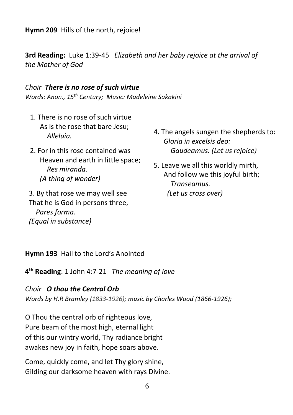**Hymn 209** Hills of the north, rejoice!

**3rd Reading:** Luke 1:39-45 *Elizabeth and her baby rejoice at the arrival of the Mother of God*

*Choir There is no rose of such virtue Words: Anon., 15th Century; Music: Madeleine Sakakini*

- 1. There is no rose of such virtue As is the rose that bare Jesu;  *Alleluia.*
- 2. For in this rose contained was Heaven and earth in little space;  *Res miranda*. *(A thing of wonder)*

3. By that rose we may well see That he is God in persons three,  *Pares forma. (Equal in substance)*

- 4. The angels sungen the shepherds to: *Gloria in excelsis deo: Gaudeamus. (Let us rejoice)*
- 5. Leave we all this worldly mirth, And follow we this joyful birth;  *Transeamus. (Let us cross over)*

#### **Hymn 193** Hail to the Lord's Anointed

**4 th Reading**: 1 John 4:7-21 *The meaning of love*

*Choir O thou the Central Orb Words by H.R Bramley (1833-1926); music by Charles Wood (1866-1926);* 

O Thou the central orb of righteous love, Pure beam of the most high, eternal light of this our wintry world, Thy radiance bright awakes new joy in faith, hope soars above.

Come, quickly come, and let Thy glory shine, Gilding our darksome heaven with rays Divine.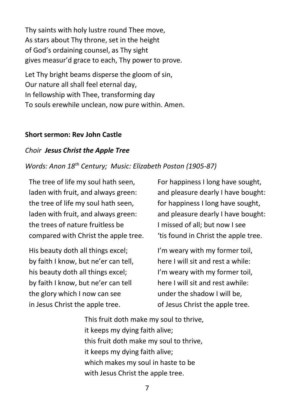Thy saints with holy lustre round Thee move, As stars about Thy throne, set in the height of God's ordaining counsel, as Thy sight gives measur'd grace to each, Thy power to prove.

Let Thy bright beams disperse the gloom of sin, Our nature all shall feel eternal day, In fellowship with Thee, transforming day To souls erewhile unclean, now pure within. Amen.

#### **Short sermon: Rev John Castle**

#### *Choir Jesus Christ the Apple Tree*

#### *Words: Anon 18th Century; Music: Elizabeth Poston (1905-87)*

The tree of life my soul hath seen, laden with fruit, and always green: the tree of life my soul hath seen, laden with fruit, and always green: the trees of nature fruitless be compared with Christ the apple tree.

His beauty doth all things excel; by faith I know, but ne'er can tell, his beauty doth all things excel; by faith I know, but ne'er can tell the glory which I now can see in Jesus Christ the apple tree.

For happiness I long have sought, and pleasure dearly I have bought: for happiness I long have sought, and pleasure dearly I have bought: I missed of all; but now I see 'tis found in Christ the apple tree.

I'm weary with my former toil, here I will sit and rest a while: I'm weary with my former toil, here I will sit and rest awhile: under the shadow I will be, of Jesus Christ the apple tree.

This fruit doth make my soul to thrive, it keeps my dying faith alive; this fruit doth make my soul to thrive, it keeps my dying faith alive; which makes my soul in haste to be with Jesus Christ the apple tree.